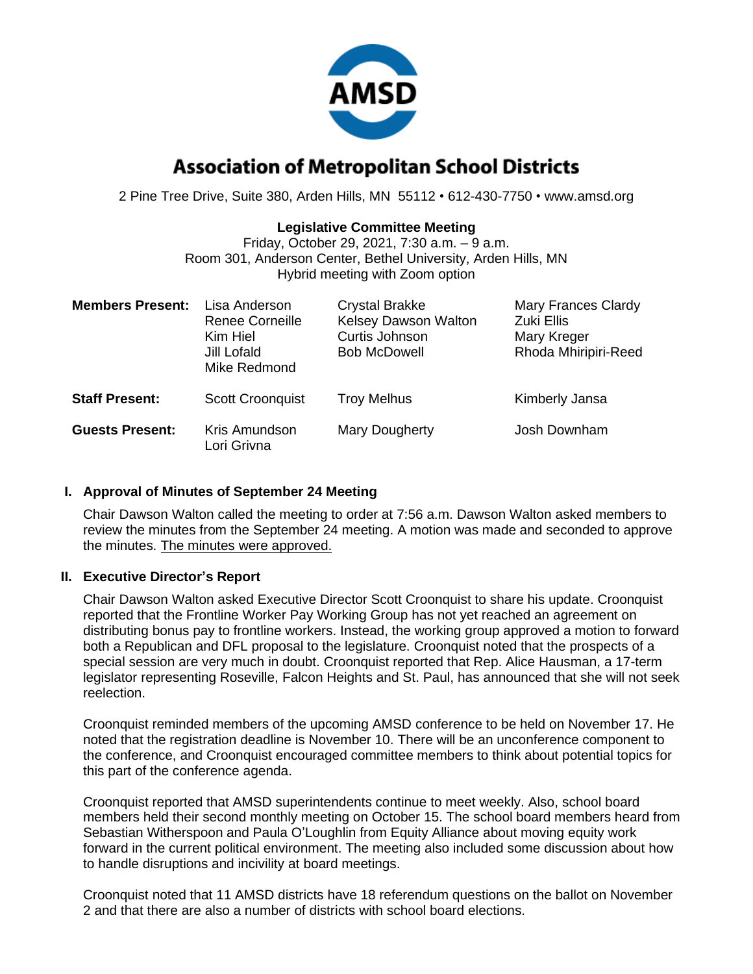

# **Association of Metropolitan School Districts**

2 Pine Tree Drive, Suite 380, Arden Hills, MN 55112 • 612-430-7750 • www.amsd.org

## **Legislative Committee Meeting**

Friday, October 29, 2021, 7:30 a.m. – 9 a.m. Room 301, Anderson Center, Bethel University, Arden Hills, MN Hybrid meeting with Zoom option

| <b>Members Present:</b> | Lisa Anderson<br><b>Renee Corneille</b><br>Kim Hiel<br>Jill Lofald<br>Mike Redmond | <b>Crystal Brakke</b><br>Kelsey Dawson Walton<br>Curtis Johnson<br><b>Bob McDowell</b> | <b>Mary Frances Clardy</b><br>Zuki Ellis<br>Mary Kreger<br>Rhoda Mhiripiri-Reed |
|-------------------------|------------------------------------------------------------------------------------|----------------------------------------------------------------------------------------|---------------------------------------------------------------------------------|
| <b>Staff Present:</b>   | <b>Scott Croonquist</b>                                                            | <b>Troy Melhus</b>                                                                     | Kimberly Jansa                                                                  |
| <b>Guests Present:</b>  | Kris Amundson<br>Lori Grivna                                                       | Mary Dougherty                                                                         | Josh Downham                                                                    |

### **I. Approval of Minutes of September 24 Meeting**

Chair Dawson Walton called the meeting to order at 7:56 a.m. Dawson Walton asked members to review the minutes from the September 24 meeting. A motion was made and seconded to approve the minutes. The minutes were approved.

## **II. Executive Director's Report**

Chair Dawson Walton asked Executive Director Scott Croonquist to share his update. Croonquist reported that the Frontline Worker Pay Working Group has not yet reached an agreement on distributing bonus pay to frontline workers. Instead, the working group approved a motion to forward both a Republican and DFL proposal to the legislature. Croonquist noted that the prospects of a special session are very much in doubt. Croonquist reported that Rep. Alice Hausman, a 17-term legislator representing Roseville, Falcon Heights and St. Paul, has announced that she will not seek reelection.

Croonquist reminded members of the upcoming AMSD conference to be held on November 17. He noted that the registration deadline is November 10. There will be an unconference component to the conference, and Croonquist encouraged committee members to think about potential topics for this part of the conference agenda.

Croonquist reported that AMSD superintendents continue to meet weekly. Also, school board members held their second monthly meeting on October 15. The school board members heard from Sebastian Witherspoon and Paula O'Loughlin from Equity Alliance about moving equity work forward in the current political environment. The meeting also included some discussion about how to handle disruptions and incivility at board meetings.

Croonquist noted that 11 AMSD districts have 18 referendum questions on the ballot on November 2 and that there are also a number of districts with school board elections.